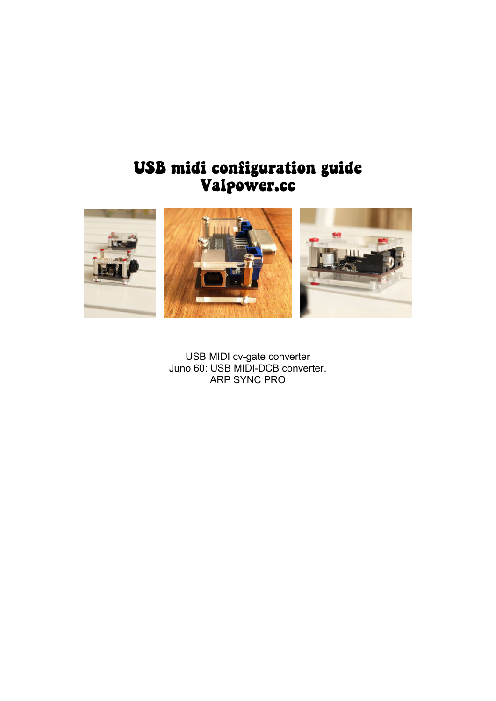## USB midi configuration guide Valpower.cc



USB MIDI cv-gate converter Juno 60: USB MIDI-DCB converter. ARP SYNC PRO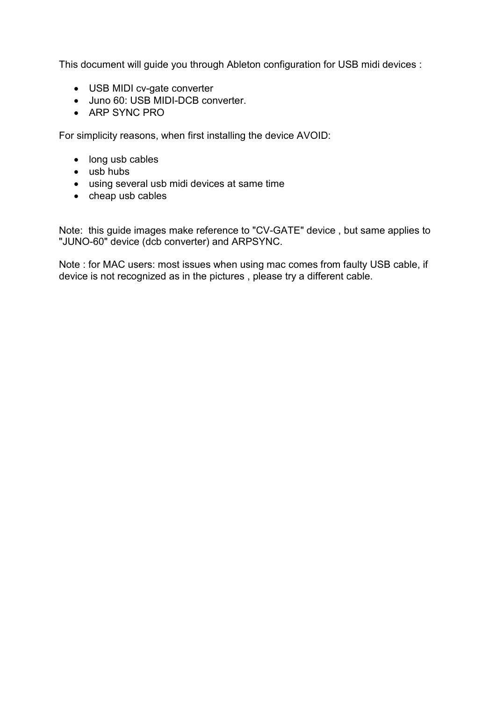This document will guide you through Ableton configuration for USB midi devices :

- USB MIDI cv-gate converter
- Juno 60: USB MIDI-DCB converter.
- ARP SYNC PRO

For simplicity reasons, when first installing the device AVOID:

- long usb cables
- $\bullet$  usb hubs
- using several usb midi devices at same time
- cheap usb cables

Note: this guide images make reference to "CV-GATE" device , but same applies to "JUNO-60" device (dcb converter) and ARPSYNC.

Note : for MAC users: most issues when using mac comes from faulty USB cable, if device is not recognized as in the pictures , please try a different cable.